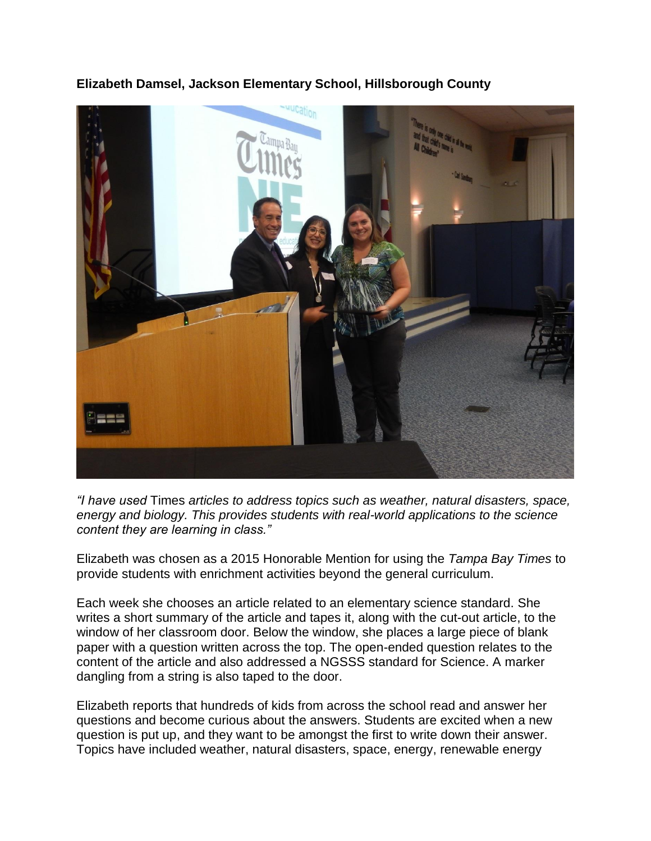**Elizabeth Damsel, Jackson Elementary School, Hillsborough County**



*"I have used* Times *articles to address topics such as weather, natural disasters, space, energy and biology. This provides students with real-world applications to the science content they are learning in class."*

Elizabeth was chosen as a 2015 Honorable Mention for using the *Tampa Bay Times* to provide students with enrichment activities beyond the general curriculum.

Each week she chooses an article related to an elementary science standard. She writes a short summary of the article and tapes it, along with the cut-out article, to the window of her classroom door. Below the window, she places a large piece of blank paper with a question written across the top. The open-ended question relates to the content of the article and also addressed a NGSSS standard for Science. A marker dangling from a string is also taped to the door.

Elizabeth reports that hundreds of kids from across the school read and answer her questions and become curious about the answers. Students are excited when a new question is put up, and they want to be amongst the first to write down their answer. Topics have included weather, natural disasters, space, energy, renewable energy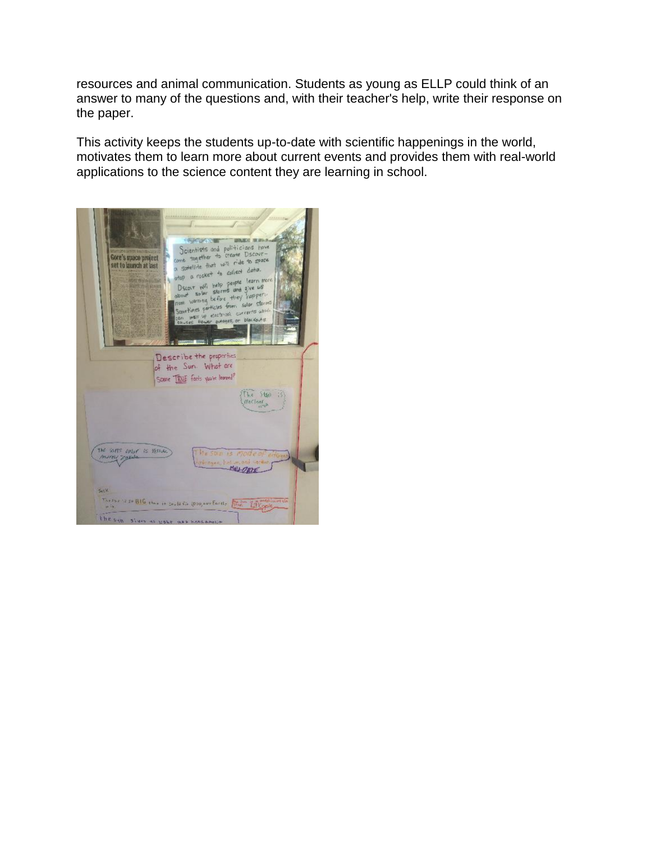resources and animal communication. Students as young as ELLP could think of an answer to many of the questions and, with their teacher's help, write their response on the paper.

This activity keeps the students up-to-date with scientific happenings in the world, motivates them to learn more about current events and provides them with real-world applications to the science content they are learning in school.